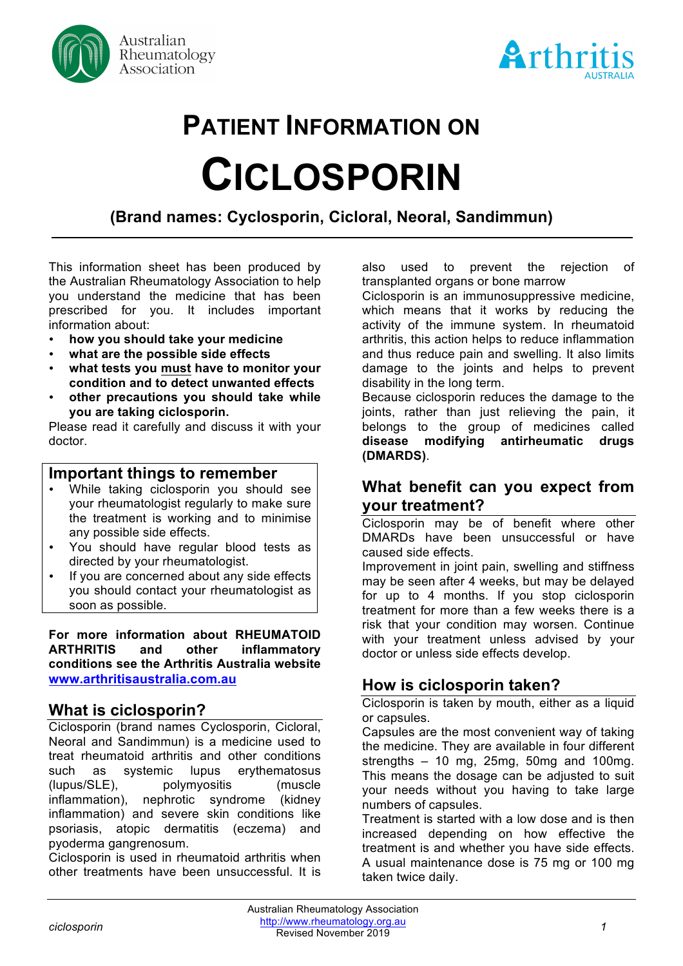



# **PATIENT INFORMATION ON CICLOSPORIN**

# **(Brand names: Cyclosporin, Cicloral, Neoral, Sandimmun)**

This information sheet has been produced by the Australian Rheumatology Association to help you understand the medicine that has been prescribed for you. It includes important information about:

- **how you should take your medicine**
- **what are the possible side effects**
- **what tests you must have to monitor your condition and to detect unwanted effects**
- **other precautions you should take while you are taking ciclosporin.**

Please read it carefully and discuss it with your doctor.

#### **Important things to remember**

- While taking ciclosporin you should see your rheumatologist regularly to make sure the treatment is working and to minimise any possible side effects.
- You should have regular blood tests as directed by your rheumatologist.
- If you are concerned about any side effects you should contact your rheumatologist as soon as possible.

**For more information about RHEUMATOID ARTHRITIS and other inflammatory conditions see the Arthritis Australia website www.arthritisaustralia.com.au**

#### **What is ciclosporin?**

Ciclosporin (brand names Cyclosporin, Cicloral, Neoral and Sandimmun) is a medicine used to treat rheumatoid arthritis and other conditions such as systemic lupus erythematosus (lupus/SLE), polymyositis (muscle inflammation), nephrotic syndrome (kidney inflammation) and severe skin conditions like psoriasis, atopic dermatitis (eczema) and pyoderma gangrenosum.

Ciclosporin is used in rheumatoid arthritis when other treatments have been unsuccessful. It is also used to prevent the rejection of transplanted organs or bone marrow

Ciclosporin is an immunosuppressive medicine, which means that it works by reducing the activity of the immune system. In rheumatoid arthritis, this action helps to reduce inflammation and thus reduce pain and swelling. It also limits damage to the joints and helps to prevent disability in the long term.

Because ciclosporin reduces the damage to the joints, rather than just relieving the pain, it belongs to the group of medicines called **disease modifying antirheumatic drugs (DMARDS)**.

#### **What benefit can you expect from your treatment?**

Ciclosporin may be of benefit where other DMARDs have been unsuccessful or have caused side effects.

Improvement in joint pain, swelling and stiffness may be seen after 4 weeks, but may be delayed for up to 4 months. If you stop ciclosporin treatment for more than a few weeks there is a risk that your condition may worsen. Continue with your treatment unless advised by your doctor or unless side effects develop.

### **How is ciclosporin taken?**

Ciclosporin is taken by mouth, either as a liquid or capsules.

Capsules are the most convenient way of taking the medicine. They are available in four different strengths – 10 mg, 25mg, 50mg and 100mg. This means the dosage can be adjusted to suit your needs without you having to take large numbers of capsules.

Treatment is started with a low dose and is then increased depending on how effective the treatment is and whether you have side effects. A usual maintenance dose is 75 mg or 100 mg taken twice daily.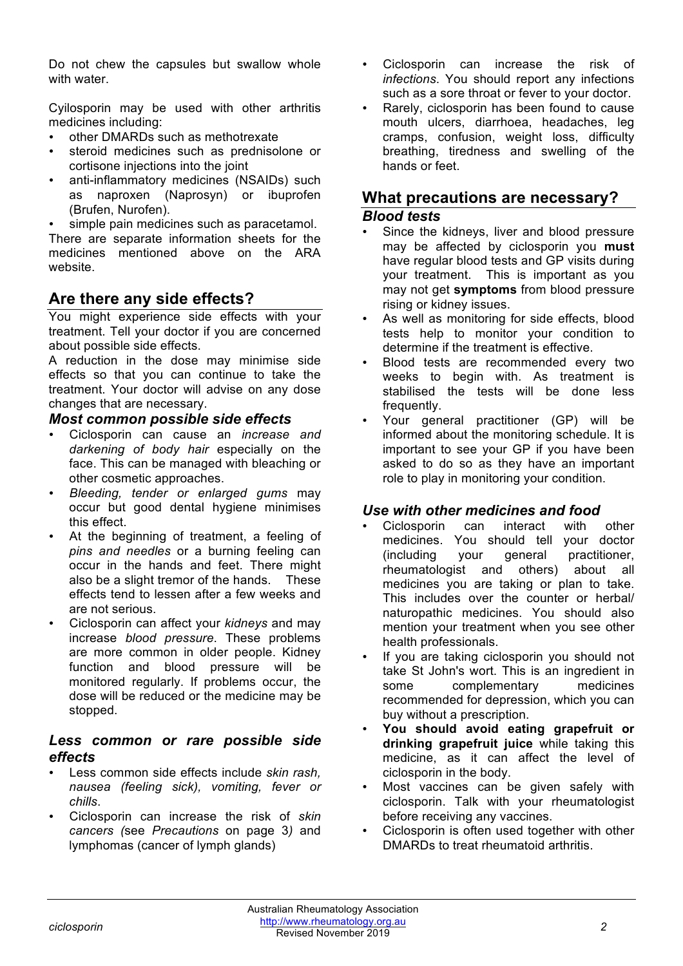Do not chew the capsules but swallow whole with water.

Cyilosporin may be used with other arthritis medicines including:

- other DMARDs such as methotrexate
- steroid medicines such as prednisolone or cortisone injections into the joint
- anti-inflammatory medicines (NSAIDs) such as naproxen (Naprosyn) or ibuprofen (Brufen, Nurofen).

simple pain medicines such as paracetamol.

There are separate information sheets for the medicines mentioned above on the ARA website.

## **Are there any side effects?**

You might experience side effects with your treatment. Tell your doctor if you are concerned about possible side effects.

A reduction in the dose may minimise side effects so that you can continue to take the treatment. Your doctor will advise on any dose changes that are necessary.

#### *Most common possible side effects*

- Ciclosporin can cause an *increase and darkening of body hair* especially on the face. This can be managed with bleaching or other cosmetic approaches.
- *Bleeding, tender or enlarged gums* may occur but good dental hygiene minimises this effect.
- At the beginning of treatment, a feeling of *pins and needles* or a burning feeling can occur in the hands and feet. There might also be a slight tremor of the hands. These effects tend to lessen after a few weeks and are not serious.
- Ciclosporin can affect your *kidneys* and may increase *blood pressure*. These problems are more common in older people. Kidney function and blood pressure will be monitored regularly. If problems occur, the dose will be reduced or the medicine may be stopped.

#### *Less common or rare possible side effects*

- Less common side effects include *skin rash, nausea (feeling sick), vomiting, fever or chills*.
- Ciclosporin can increase the risk of *skin cancers (*see *Precautions* on page 3*)* and lymphomas (cancer of lymph glands)
- Ciclosporin can increase the risk of *infections*. You should report any infections such as a sore throat or fever to your doctor.
- Rarely, ciclosporin has been found to cause mouth ulcers, diarrhoea, headaches, leg cramps, confusion, weight loss, difficulty breathing, tiredness and swelling of the hands or feet.

# **What precautions are necessary?**

#### *Blood tests*

- Since the kidneys, liver and blood pressure may be affected by ciclosporin you **must**  have regular blood tests and GP visits during your treatment. This is important as you may not get **symptoms** from blood pressure rising or kidney issues.
- As well as monitoring for side effects, blood tests help to monitor your condition to determine if the treatment is effective.
- Blood tests are recommended every two weeks to begin with. As treatment is stabilised the tests will be done less frequently.
- Your general practitioner (GP) will be informed about the monitoring schedule. It is important to see your GP if you have been asked to do so as they have an important role to play in monitoring your condition.

#### *Use with other medicines and food*

- Ciclosporin can interact with other medicines. You should tell your doctor (including your general practitioner, rheumatologist and others) about all medicines you are taking or plan to take. This includes over the counter or herbal/ naturopathic medicines. You should also mention your treatment when you see other health professionals.
- If you are taking ciclosporin you should not take St John's wort. This is an ingredient in some complementary medicines recommended for depression, which you can buy without a prescription.
- **You should avoid eating grapefruit or drinking grapefruit juice** while taking this medicine, as it can affect the level of ciclosporin in the body.
- Most vaccines can be given safely with ciclosporin. Talk with your rheumatologist before receiving any vaccines.
- Ciclosporin is often used together with other DMARDs to treat rheumatoid arthritis.